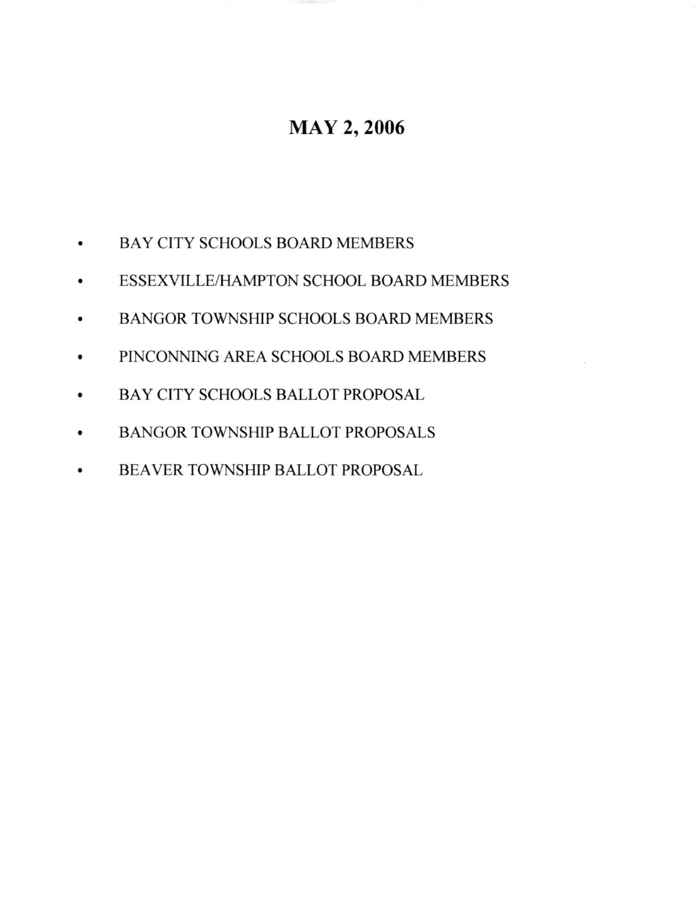# **MAY 2, 2006**

- a BAY CITY SCHOOLS BOARD MEMBERS
- a ESSEXVILLE/HAMPTON SCHOOL BOARD MEMBERS
- a BANGOR TOWNSHIP SCHOOLS BOARD MEMBERS
- o PINCONNING AREA SCHOOLS BOARD MEMBERS
- a BAY CITY SCHOOLS BALLOT PROPOSAL
- $\bullet$ BANGOR TOWNSHIP BALLOT PROFOSALS
- a BEAVER TOWNSHIP BALLOT PROPOSAL